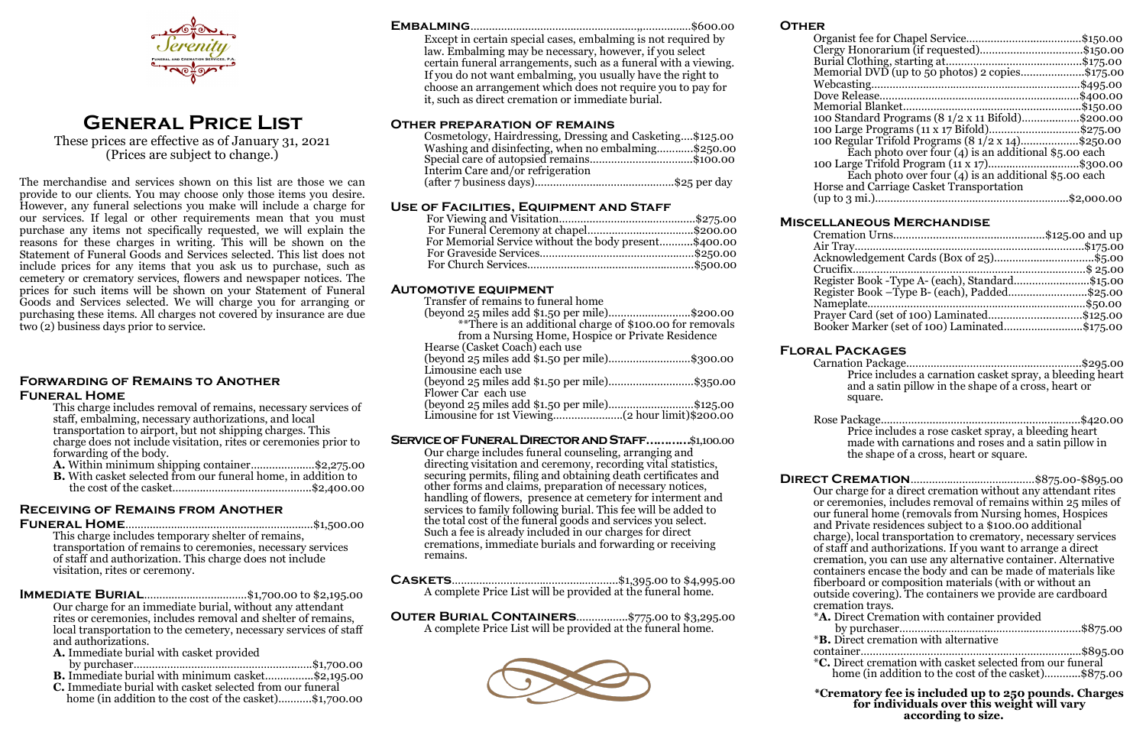**Other**

Horse

|                                                                           | \$1,50.00  |
|---------------------------------------------------------------------------|------------|
|                                                                           | \$150.00.  |
|                                                                           | \$175.00   |
| Memorial DVD (up to 50 photos) 2                           copies\$175.00 |            |
|                                                                           | \$495.00   |
|                                                                           | \$400.00   |
|                                                                           | \$150.00   |
| 100 Standard Programs (8 1/2 x 11 Bifold)\$200.00                         |            |
| 100 Large Programs (11 x 17 Bifold)\$275.00                               |            |
| 100 Regular Trifold Programs (8 1/2 x 14)\$250.00                         |            |
| Each photo over four $(4)$ is an additional \$5.00 each                   |            |
| 100 Large Trifold Program (11 x 17)\$300.00                               |            |
| Each photo over four $(4)$ is an additional \$5.00 each                   |            |
| Horse and Carriage Casket Transportation                                  |            |
|                                                                           | \$2,000.00 |
|                                                                           |            |

# **Miscellaneous Merchandise**

| Acknowledgement Cards (Box of 25)\$5.00         |  |
|-------------------------------------------------|--|
|                                                 |  |
| Register Book - Type A- (each), Standard\$15.00 |  |
| Register Book – Type B- (each), Padded\$25.00   |  |
|                                                 |  |
| Prayer Card (set of 100) Laminated\$125.00      |  |
| Booker Marker (set of 100) Laminated\$175.00    |  |
|                                                 |  |

# **Floral Packages**

Carnation Package…………………………………..……………..\$295.00 Price includes a carnation casket spray, a bleeding heart and a satin pillow in the shape of a cross, heart or square.

Rose Package…………………………………..…………..………..\$420.00 Price includes a rose casket spray, a bleeding heart made with carnations and roses and a satin pillow in the shape of a cross, heart or square.

**Direct Cremation**………….………………….……\$875.00-\$895.00 Our charge for a direct cremation without any attendant rites or ceremonies, includes removal of remains within 25 miles of our funeral home (removals from Nursing homes, Hospices and Private residences subject to a \$100.00 additional charge), local transportation to crematory, necessary services of staff and authorizations. If you want to arrange a direct cremation, you can use any alternative container. Alternative containers encase the body and can be made of materials like fiberboard or composition materials (with or without an outside covering). The containers we provide are cardboard cremation trays. \***A.** Direct Cremation with container provided by purchaser………….……………..……………..………….\$875.00 \***B.** Direct cremation with alternative container………………………………………………………….......\$895.00 \***C.** Direct cremation with casket selected from our funeral home (in addition to the cost of the casket)…………\$875.00 **\*Crematory fee is included up to 250 pounds. Charges for individuals over this weight will vary according to size.**

**IMMEDIATE BURIAL**.................................\$1,700.00 to \$2,195.00 Our charge for an immediate burial, without any attendant rites or ceremonies, includes removal and shelter of remains, local transportation to the cemetery, necessary services of staff and authorizations.

- **A.** Immediate burial with casket provided by purchaser………….……………..……………….…..…..\$1,700.00
- **B.** Immediate burial with minimum casket…….……...\$2,195.00
- **C.** Immediate burial with casket selected from our funeral home (in addition to the cost of the casket)……….\$1,700.00

**Embalming**………….……………………………………,,……….……\$600.00 Except in certain special cases, embalming is not required by law. Embalming may be necessary, however, if you select certain funeral arrangements, such as a funeral with a viewing. If you do not want embalming, you usually have the right to choose an arrangement which does not require you to pay for it, such as direct cremation or immediate burial. **Other preparation of remains** Cosmetology, Hairdressing, Dressing and Casketing….\$125.00 Washing and disinfecting, when no embalming……..….\$250.00 Special care of autopsied remains…………………………….\$100.00 Interim Care and/or refrigeration (after 7 business days)……………………………………….\$25 per day **Use of Facilities, Equipment and Staff** For Viewing and Visitation………………………………………\$275.00 For Funeral Ceremony at chapel……………...……………..\$200.00 For Memorial Service without the body present………..\$400.00 For Graveside Services……………………………………………\$250.00 For Church Services……………………………………………….\$500.00 **Automotive equipment** Transfer of remains to funeral home (beyond 25 miles add \$1.50 per mile)………………….…..\$200.00 \*\*There is an additional charge of \$100.00 for removals from a Nursing Home, Hospice or Private Residence Hearse (Casket Coach) each use (beyond 25 miles add \$1.50 per mile)………………………\$300.00 Limousine each use (beyond 25 miles add \$1.50 per mile)………………….……\$350.00 Flower Car each use (beyond 25 miles add \$1.50 per mile)………………….……\$125.00 Limousine for 1st Viewing…………………..(2 hour limit)\$200.00 **Service of Funeral Director and Staff…………**\$1,100.00 Our charge includes funeral counseling, arranging and directing visitation and ceremony, recording vital statistics, securing permits, filing and obtaining death certificates and other forms and claims, preparation of necessary notices, handling of flowers, presence at cemetery for interment and services to family following burial. This fee will be added to the total cost of the funeral goods and services you select. Such a fee is already included in our charges for direct

cremations, immediate burials and forwarding or receiving

remains.

**Caskets**………………………………….…….……..\$1,395.00 to \$4,995.00 A complete Price List will be provided at the funeral home.

**Outer Burial Containers**………...…..\$775.00 to \$3,295.00 A complete Price List will be provided at the funeral home.



# **General Price List**

These prices are effective as of January 31, 2021 (Prices are subject to change.)

The merchandise and services shown on this list are those we can provide to our clients. You may choose only those items you desire. However, any funeral selections you make will include a charge for our services. If legal or other requirements mean that you must purchase any items not specifically requested, we will explain the reasons for these charges in writing. This will be shown on the Statement of Funeral Goods and Services selected. This list does not include prices for any items that you ask us to purchase, such as cemetery or crematory services, flowers and newspaper notices. The prices for such items will be shown on your Statement of Funeral Goods and Services selected. We will charge you for arranging or purchasing these items. All charges not covered by insurance are due two (2) business days prior to service.

#### **Forwarding of Remains to Another Funeral Home**

This charge includes removal of remains, necessary services of staff, embalming, necessary authorizations, and local transportation to airport, but not shipping charges. This charge does not include visitation, rites or ceremonies prior to forwarding of the body.

- **A.** Within minimum shipping container……………...…\$2,275.00
- **B.** With casket selected from our funeral home, in addition to the cost of the casket………..……………..….…………..\$2,400.00

# **Receiving of Remains from Another**

**Funeral Home**………………………………………………….….\$1,500.00 This charge includes temporary shelter of remains, transportation of remains to ceremonies, necessary services of staff and authorization. This charge does not include visitation, rites or ceremony.